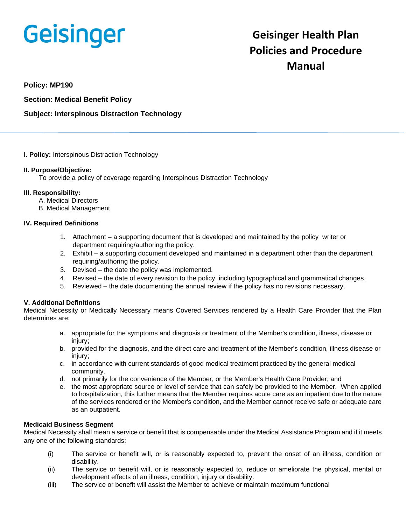# **Geisinger**

# **Geisinger Health Plan Policies and Procedure Manual**

**Policy: MP190**

**Section: Medical Benefit Policy**

# **Subject: Interspinous Distraction Technology**

# **I. Policy:** Interspinous Distraction Technology

# **II. Purpose/Objective:**

To provide a policy of coverage regarding Interspinous Distraction Technology

# **III. Responsibility:**

- A. Medical Directors
- B. Medical Management

# **IV. Required Definitions**

- 1. Attachment a supporting document that is developed and maintained by the policy writer or department requiring/authoring the policy.
- 2. Exhibit a supporting document developed and maintained in a department other than the department requiring/authoring the policy.
- 3. Devised the date the policy was implemented.
- 4. Revised the date of every revision to the policy, including typographical and grammatical changes.
- 5. Reviewed the date documenting the annual review if the policy has no revisions necessary.

# **V. Additional Definitions**

Medical Necessity or Medically Necessary means Covered Services rendered by a Health Care Provider that the Plan determines are:

- a. appropriate for the symptoms and diagnosis or treatment of the Member's condition, illness, disease or injury;
- b. provided for the diagnosis, and the direct care and treatment of the Member's condition, illness disease or injury;
- c. in accordance with current standards of good medical treatment practiced by the general medical community.
- d. not primarily for the convenience of the Member, or the Member's Health Care Provider; and
- e. the most appropriate source or level of service that can safely be provided to the Member. When applied to hospitalization, this further means that the Member requires acute care as an inpatient due to the nature of the services rendered or the Member's condition, and the Member cannot receive safe or adequate care as an outpatient.

# **Medicaid Business Segment**

Medical Necessity shall mean a service or benefit that is compensable under the Medical Assistance Program and if it meets any one of the following standards:

- (i) The service or benefit will, or is reasonably expected to, prevent the onset of an illness, condition or disability.
- (ii) The service or benefit will, or is reasonably expected to, reduce or ameliorate the physical, mental or development effects of an illness, condition, injury or disability.
- (iii) The service or benefit will assist the Member to achieve or maintain maximum functional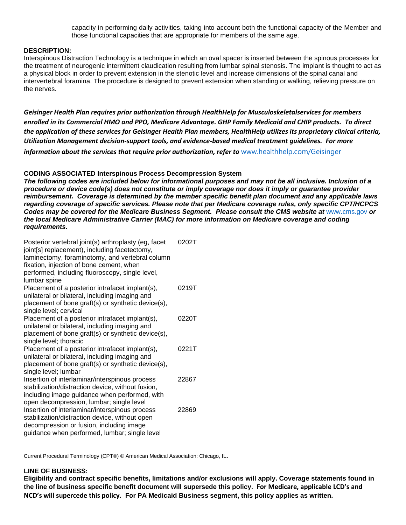capacity in performing daily activities, taking into account both the functional capacity of the Member and those functional capacities that are appropriate for members of the same age.

#### **DESCRIPTION:**

Interspinous Distraction Technology is a technique in which an oval spacer is inserted between the spinous processes for the treatment of neurogenic intermittent claudication resulting from lumbar spinal stenosis. The implant is thought to act as a physical block in order to prevent extension in the stenotic level and increase dimensions of the spinal canal and intervertebral foramina. The procedure is designed to prevent extension when standing or walking, relieving pressure on the nerves.

*Geisinger Health Plan requires prior authorization through HealthHelp for Musculoskeletalservices for members enrolled in its Commercial HMO and PPO, Medicare Advantage. GHP Family Medicaid and CHIP products. To direct the application of these services for Geisinger Health Plan members, HealthHelp utilizes its proprietary clinical criteria, Utilization Management decision-support tools, and evidence-based medical treatment guidelines. For more information about the services that require prior authorization, refer to [www.healthhelp.com/Geisinger](http://www.healthhelp.com/Geisinger)* 

#### **CODING ASSOCIATED Interspinous Process Decompression System**

*The following codes are included below for informational purposes and may not be all inclusive. Inclusion of a procedure or device code(s) does not constitute or imply coverage nor does it imply or guarantee provider reimbursement. Coverage is determined by the member specific benefit plan document and any applicable laws regarding coverage of specific services. Please note that per Medicare coverage rules, only specific CPT/HCPCS Codes may be covered for the Medicare Business Segment. Please consult the CMS website at* [www.cms.gov](http://www.cms.gov/) *or the local Medicare Administrative Carrier (MAC) for more information on Medicare coverage and coding requirements.*

| Posterior vertebral joint(s) arthroplasty (eg, facet<br>joint[s] replacement), including facetectomy,<br>laminectomy, foraminotomy, and vertebral column<br>fixation, injection of bone cement, when<br>performed, including fluoroscopy, single level,<br>lumbar spine | 0202T |
|-------------------------------------------------------------------------------------------------------------------------------------------------------------------------------------------------------------------------------------------------------------------------|-------|
| Placement of a posterior intrafacet implant(s),<br>unilateral or bilateral, including imaging and<br>placement of bone graft(s) or synthetic device(s),<br>single level; cervical                                                                                       | 0219T |
| Placement of a posterior intrafacet implant(s),<br>unilateral or bilateral, including imaging and<br>placement of bone graft(s) or synthetic device(s),<br>single level; thoracic                                                                                       | 0220T |
| Placement of a posterior intrafacet implant(s),<br>unilateral or bilateral, including imaging and<br>placement of bone graft(s) or synthetic device(s),<br>single level; lumbar                                                                                         | 0221T |
| Insertion of interlaminar/interspinous process<br>stabilization/distraction device, without fusion,<br>including image guidance when performed, with<br>open decompression, lumbar; single level                                                                        | 22867 |
| Insertion of interlaminar/interspinous process<br>stabilization/distraction device, without open<br>decompression or fusion, including image<br>guidance when performed, lumbar; single level                                                                           | 22869 |

Current Procedural Terminology (CPT®) © American Medical Association: Chicago, IL**.**

#### **LINE OF BUSINESS:**

**Eligibility and contract specific benefits, limitations and/or exclusions will apply. Coverage statements found in the line of business specific benefit document will supersede this policy. For Medicare, applicable LCD's and NCD's will supercede this policy. For PA Medicaid Business segment, this policy applies as written.**